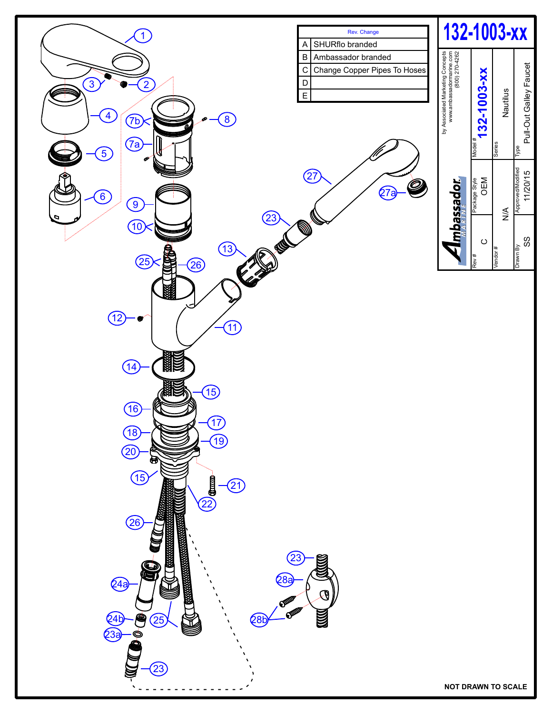